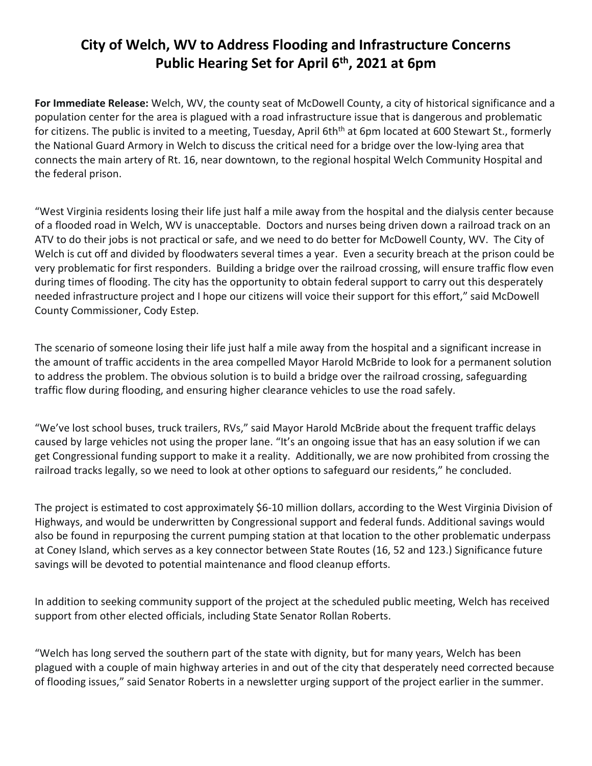## **City of Welch, WV to Address Flooding and Infrastructure Concerns Public Hearing Set for April 6 th, 2021 at 6pm**

**For Immediate Release:** Welch, WV, the county seat of McDowell County, a city of historical significance and a population center for the area is plagued with a road infrastructure issue that is dangerous and problematic for citizens. The public is invited to a meeting, Tuesday, April 6th<sup>th</sup> at 6pm located at 600 Stewart St., formerly the National Guard Armory in Welch to discuss the critical need for a bridge over the low-lying area that connects the main artery of Rt. 16, near downtown, to the regional hospital Welch Community Hospital and the federal prison.

"West Virginia residents losing their life just half a mile away from the hospital and the dialysis center because of a flooded road in Welch, WV is unacceptable. Doctors and nurses being driven down a railroad track on an ATV to do their jobs is not practical or safe, and we need to do better for McDowell County, WV. The City of Welch is cut off and divided by floodwaters several times a year. Even a security breach at the prison could be very problematic for first responders. Building a bridge over the railroad crossing, will ensure traffic flow even during times of flooding. The city has the opportunity to obtain federal support to carry out this desperately needed infrastructure project and I hope our citizens will voice their support for this effort," said McDowell County Commissioner, Cody Estep.

The scenario of someone losing their life just half a mile away from the hospital and a significant increase in the amount of traffic accidents in the area compelled Mayor Harold McBride to look for a permanent solution to address the problem. The obvious solution is to build a bridge over the railroad crossing, safeguarding traffic flow during flooding, and ensuring higher clearance vehicles to use the road safely.

"We've lost school buses, truck trailers, RVs," said Mayor Harold McBride about the frequent traffic delays caused by large vehicles not using the proper lane. "It's an ongoing issue that has an easy solution if we can get Congressional funding support to make it a reality. Additionally, we are now prohibited from crossing the railroad tracks legally, so we need to look at other options to safeguard our residents," he concluded.

The project is estimated to cost approximately \$6-10 million dollars, according to the West Virginia Division of Highways, and would be underwritten by Congressional support and federal funds. Additional savings would also be found in repurposing the current pumping station at that location to the other problematic underpass at Coney Island, which serves as a key connector between State Routes (16, 52 and 123.) Significance future savings will be devoted to potential maintenance and flood cleanup efforts.

In addition to seeking community support of the project at the scheduled public meeting, Welch has received support from other elected officials, including State Senator Rollan Roberts.

"Welch has long served the southern part of the state with dignity, but for many years, Welch has been plagued with a couple of main highway arteries in and out of the city that desperately need corrected because of flooding issues," said Senator Roberts in a newsletter urging support of the project earlier in the summer.